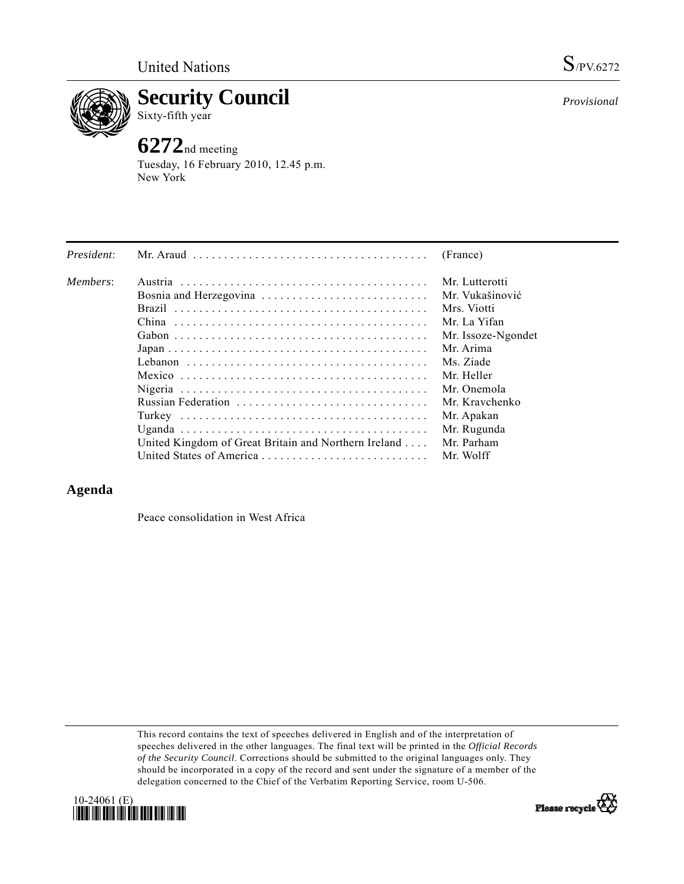

**Security Council** 

## Sixty-fifth year

# **6272**nd meeting

Tuesday, 16 February 2010, 12.45 p.m. New York

| President: | Mr. Araud $\ldots \ldots \ldots \ldots \ldots \ldots \ldots \ldots \ldots \ldots \ldots$ | (France)           |
|------------|------------------------------------------------------------------------------------------|--------------------|
| Members:   |                                                                                          | Mr. Lutterotti     |
|            | Bosnia and Herzegovina                                                                   | Mr. Vukašinović    |
|            |                                                                                          | Mrs. Viotti        |
|            |                                                                                          | Mr. La Yifan       |
|            |                                                                                          | Mr. Issoze-Ngondet |
|            |                                                                                          | Mr. Arima          |
|            |                                                                                          | Ms. Ziade          |
|            |                                                                                          | Mr. Heller         |
|            |                                                                                          | Mr. Onemola        |
|            |                                                                                          | Mr. Kravchenko     |
|            |                                                                                          | Mr. Apakan         |
|            |                                                                                          | Mr. Rugunda        |
|            | United Kingdom of Great Britain and Northern Ireland                                     | Mr. Parham         |
|            |                                                                                          | Mr. Wolff          |

### **Agenda**

Peace consolidation in West Africa

This record contains the text of speeches delivered in English and of the interpretation of speeches delivered in the other languages. The final text will be printed in the *Official Records of the Security Council*. Corrections should be submitted to the original languages only. They should be incorporated in a copy of the record and sent under the signature of a member of the delegation concerned to the Chief of the Verbatim Reporting Service, room U-506.





*Provisional*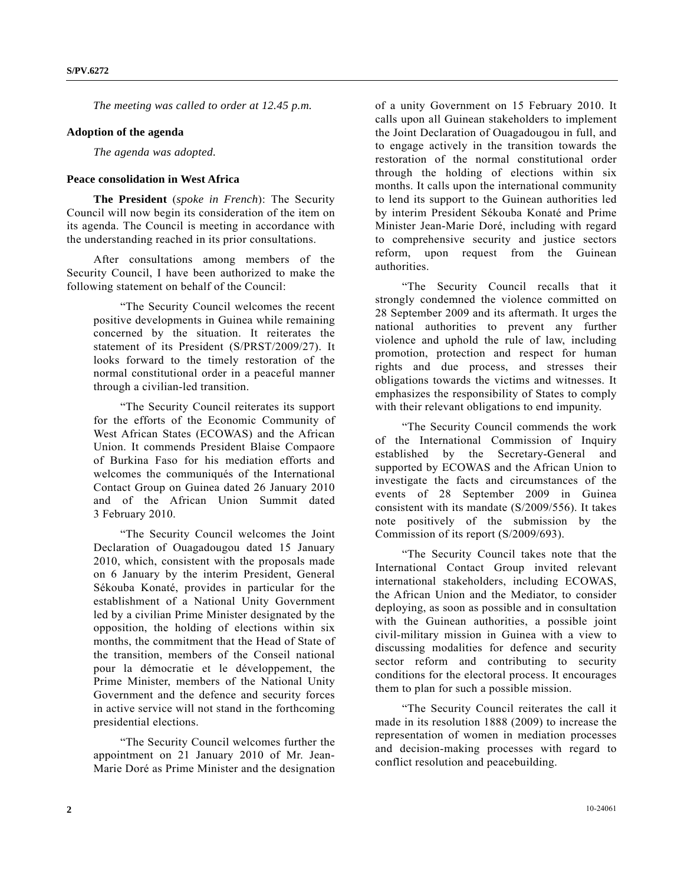*The meeting was called to order at 12.45 p.m.* 

#### **Adoption of the agenda**

*The agenda was adopted.* 

#### **Peace consolidation in West Africa**

 **The President** (*spoke in French*): The Security Council will now begin its consideration of the item on its agenda. The Council is meeting in accordance with the understanding reached in its prior consultations.

 After consultations among members of the Security Council, I have been authorized to make the following statement on behalf of the Council:

 "The Security Council welcomes the recent positive developments in Guinea while remaining concerned by the situation. It reiterates the statement of its President (S/PRST/2009/27). It looks forward to the timely restoration of the normal constitutional order in a peaceful manner through a civilian-led transition.

 "The Security Council reiterates its support for the efforts of the Economic Community of West African States (ECOWAS) and the African Union. It commends President Blaise Compaore of Burkina Faso for his mediation efforts and welcomes the communiqués of the International Contact Group on Guinea dated 26 January 2010 and of the African Union Summit dated 3 February 2010.

 "The Security Council welcomes the Joint Declaration of Ouagadougou dated 15 January 2010, which, consistent with the proposals made on 6 January by the interim President, General Sékouba Konaté, provides in particular for the establishment of a National Unity Government led by a civilian Prime Minister designated by the opposition, the holding of elections within six months, the commitment that the Head of State of the transition, members of the Conseil national pour la démocratie et le développement, the Prime Minister, members of the National Unity Government and the defence and security forces in active service will not stand in the forthcoming presidential elections.

 "The Security Council welcomes further the appointment on 21 January 2010 of Mr. Jean-Marie Doré as Prime Minister and the designation

of a unity Government on 15 February 2010. It calls upon all Guinean stakeholders to implement the Joint Declaration of Ouagadougou in full, and to engage actively in the transition towards the restoration of the normal constitutional order through the holding of elections within six months. It calls upon the international community to lend its support to the Guinean authorities led by interim President Sékouba Konaté and Prime Minister Jean-Marie Doré, including with regard to comprehensive security and justice sectors reform, upon request from the Guinean authorities.

 "The Security Council recalls that it strongly condemned the violence committed on 28 September 2009 and its aftermath. It urges the national authorities to prevent any further violence and uphold the rule of law, including promotion, protection and respect for human rights and due process, and stresses their obligations towards the victims and witnesses. It emphasizes the responsibility of States to comply with their relevant obligations to end impunity.

 "The Security Council commends the work of the International Commission of Inquiry established by the Secretary-General and supported by ECOWAS and the African Union to investigate the facts and circumstances of the events of 28 September 2009 in Guinea consistent with its mandate (S/2009/556). It takes note positively of the submission by the Commission of its report (S/2009/693).

 "The Security Council takes note that the International Contact Group invited relevant international stakeholders, including ECOWAS, the African Union and the Mediator, to consider deploying, as soon as possible and in consultation with the Guinean authorities, a possible joint civil-military mission in Guinea with a view to discussing modalities for defence and security sector reform and contributing to security conditions for the electoral process. It encourages them to plan for such a possible mission.

 "The Security Council reiterates the call it made in its resolution 1888 (2009) to increase the representation of women in mediation processes and decision-making processes with regard to conflict resolution and peacebuilding.